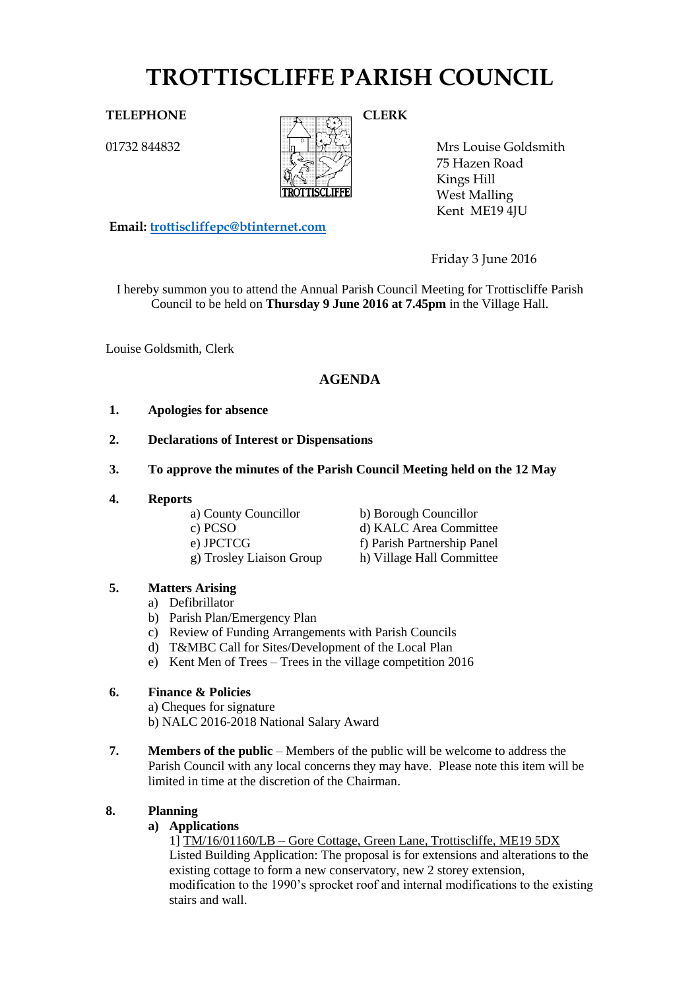# **TROTTISCLIFFE PARISH COUNCIL**

01732 844832



Mrs Louise Goldsmith 75 Hazen Road Kings Hill West Malling Kent ME19 4JU

Friday 3 June 2016

I hereby summon you to attend the Annual Parish Council Meeting for Trottiscliffe Parish Council to be held on **Thursday 9 June 2016 at 7.45pm** in the Village Hall.

Louise Goldsmith, Clerk

# **AGENDA**

### **1. Apologies for absence**

- **2. Declarations of Interest or Dispensations**
- **3. To approve the minutes of the Parish Council Meeting held on the 12 May**
- **4. Reports**

**Email: [trottiscliffepc@btinternet.com](mailto:trottiscliffepc@btinternet.com)**

- 
- g) Trosley Liaison Group h) Village Hall Committee
- a) County Councillor b) Borough Councillor
- c) PCSO d) KALC Area Committee e) JPCTCG f) Parish Partnership Panel

# **5. Matters Arising**

- a) Defibrillator
- b) Parish Plan/Emergency Plan
- c) Review of Funding Arrangements with Parish Councils
- d) T&MBC Call for Sites/Development of the Local Plan
- e) Kent Men of Trees Trees in the village competition 2016

# **6. Finance & Policies**

a) Cheques for signature b) NALC 2016-2018 National Salary Award

**7. Members of the public** – Members of the public will be welcome to address the Parish Council with any local concerns they may have. Please note this item will be limited in time at the discretion of the Chairman.

# **8. Planning**

**a) Applications**

1] TM/16/01160/LB – Gore Cottage, Green Lane, Trottiscliffe, ME19 5DX Listed Building Application: The proposal is for extensions and alterations to the existing cottage to form a new conservatory, new 2 storey extension, modification to the 1990's sprocket roof and internal modifications to the existing stairs and wall.